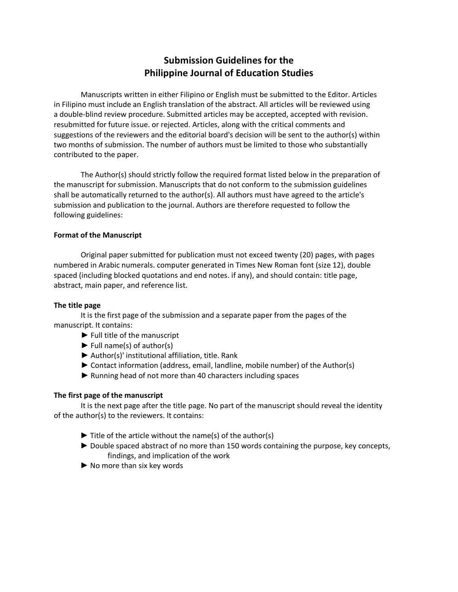# **Submission Guidelines for the Philippine Journal of Education Studies**

Manuscripts written in either Filipino or English must be submitted to the Editor. Articles in Filipino must include an English translation of the abstract. All articles will be reviewed using a double-blind review procedure. Submitted articles may be accepted, accepted with revision. resubmitted for future issue. or rejected. Articles, along with the critical comments and suggestions of the reviewers and the editorial board's decision will be sent to the author(s) within two months of submission. The number of authors must be limited to those who substantially contributed to the paper.

The Author(s) should strictly follow the required format listed below in the preparation of the manuscript for submission. Manuscripts that do not conform to the submission guidelines shall be automatically returned to the author(s). All authors must have agreed to the article's submission and publication to the journal. Authors are therefore requested to follow the following guidelines:

## **Format of the Manuscript**

Original paper submitted for publication must not exceed twenty (20) pages, with pages numbered in Arabic numerals. computer generated in Times New Roman font (size 12), double spaced (including blocked quotations and end notes. if any), and should contain: title page, abstract, main paper, and reference list.

### **The title page**

It is the first page of the submission and a separate paper from the pages of the manuscript. It contains:

- $\blacktriangleright$  Full title of the manuscript
- $\blacktriangleright$  Full name(s) of author(s)
- ► Author(s)' institutional affiliation, title. Rank
- ► Contact information (address, email, landline, mobile number) of the Author(s)
- ► Running head of not more than 40 characters including spaces

# **The first page of the manuscript**

It is the next page after the title page. No part of the manuscript should reveal the identity of the author(s) to the reviewers. It contains:

- $\blacktriangleright$  Title of the article without the name(s) of the author(s)
- ► Double spaced abstract of no more than 150 words containing the purpose, key concepts, findings, and implication of the work
- ► No more than six key words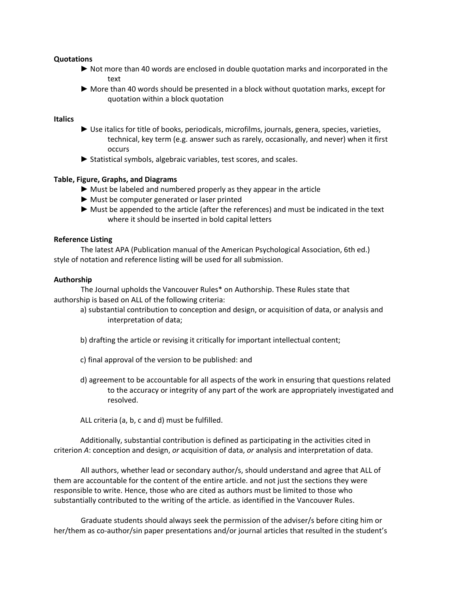## **Quotations**

- ► Not more than 40 words are enclosed in double quotation marks and incorporated in the text
- ► More than 40 words should be presented in a block without quotation marks, except for quotation within a block quotation

# **Italics**

- ► Use italics for title of books, periodicals, microfilms, journals, genera, species, varieties, technical, key term (e.g. answer such as rarely, occasionally, and never) when it first occurs
- ► Statistical symbols, algebraic variables, test scores, and scales.

## **Table, Figure, Graphs, and Diagrams**

- ► Must be labeled and numbered properly as they appear in the article
- ► Must be computer generated or laser printed
- ► Must be appended to the article (after the references) and must be indicated in the text where it should be inserted in bold capital letters

### **Reference Listing**

The latest APA (Publication manual of the American Psychological Association, 6th ed.) style of notation and reference listing will be used for all submission.

### **Authorship**

The Journal upholds the Vancouver Rules\* on Authorship. These Rules state that authorship is based on ALL of the following criteria:

- a) substantial contribution to conception and design, or acquisition of data, or analysis and interpretation of data;
- b) drafting the article or revising it critically for important intellectual content;
- c) final approval of the version to be published: and
- d) agreement to be accountable for all aspects of the work in ensuring that questions related to the accuracy or integrity of any part of the work are appropriately investigated and resolved.

ALL criteria (a, b, c and d) must be fulfilled.

Additionally, substantial contribution is defined as participating in the activities cited in criterion *A*: conception and design, *or* acquisition of data, *or* analysis and interpretation of data.

All authors, whether lead or secondary author/s, should understand and agree that ALL of them are accountable for the content of the entire article. and not just the sections they were responsible to write. Hence, those who are cited as authors must be limited to those who substantially contributed to the writing of the article. as identified in the Vancouver Rules.

Graduate students should always seek the permission of the adviser/s before citing him or her/them as co-author/sin paper presentations and/or journal articles that resulted in the student's